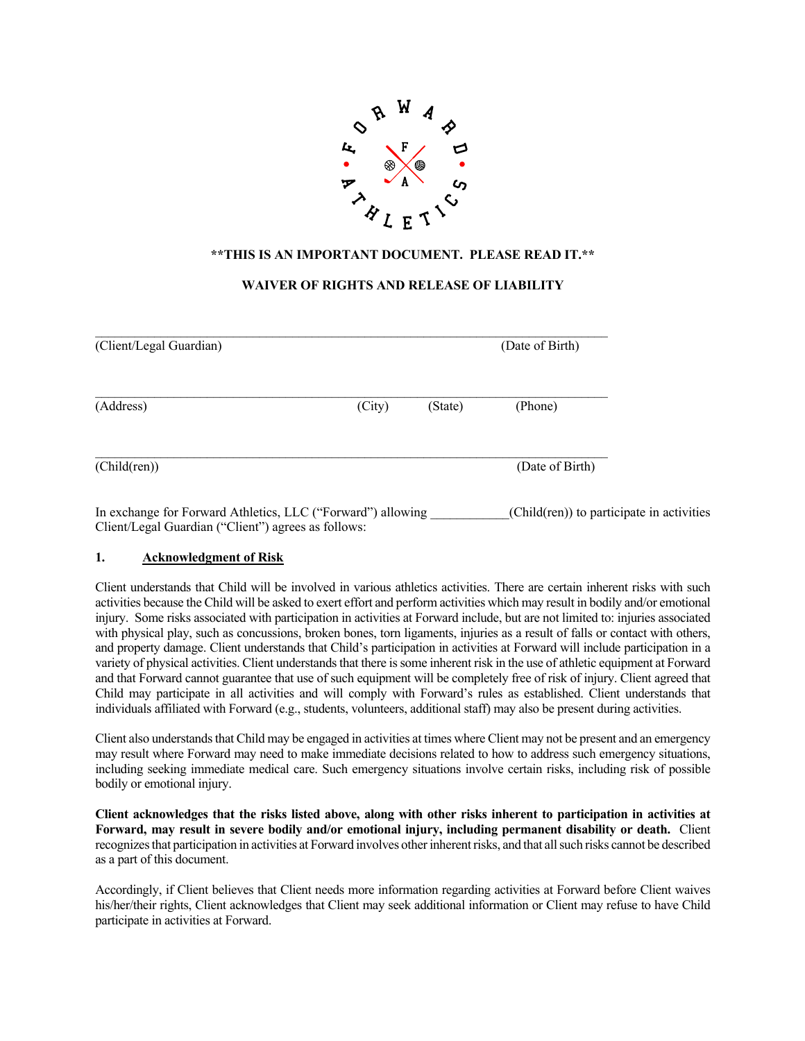

# **\*\*THIS IS AN IMPORTANT DOCUMENT. PLEASE READ IT.\*\***

## **WAIVER OF RIGHTS AND RELEASE OF LIABILITY**

| (Client/Legal Guardian) |        |         | (Date of Birth) |
|-------------------------|--------|---------|-----------------|
| (Address)               | (City) | (State) | (Phone)         |
| (Child(ren))            |        |         | (Date of Birth) |

In exchange for Forward Athletics, LLC ("Forward") allowing (Child(ren)) to participate in activities Client/Legal Guardian ("Client") agrees as follows:

#### **1. Acknowledgment of Risk**

Client understands that Child will be involved in various athletics activities. There are certain inherent risks with such activities because the Child will be asked to exert effort and perform activities which may result in bodily and/or emotional injury. Some risks associated with participation in activities at Forward include, but are not limited to: injuries associated with physical play, such as concussions, broken bones, torn ligaments, injuries as a result of falls or contact with others, and property damage. Client understands that Child's participation in activities at Forward will include participation in a variety of physical activities. Client understands that there is some inherent risk in the use of athletic equipment at Forward and that Forward cannot guarantee that use of such equipment will be completely free of risk of injury. Client agreed that Child may participate in all activities and will comply with Forward's rules as established. Client understands that individuals affiliated with Forward (e.g., students, volunteers, additional staff) may also be present during activities.

Client also understands that Child may be engaged in activities at times where Client may not be present and an emergency may result where Forward may need to make immediate decisions related to how to address such emergency situations, including seeking immediate medical care. Such emergency situations involve certain risks, including risk of possible bodily or emotional injury.

**Client acknowledges that the risks listed above, along with other risks inherent to participation in activities at Forward, may result in severe bodily and/or emotional injury, including permanent disability or death.** Client recognizesthat participation in activities at Forward involves other inherent risks, and that all such risks cannot be described as a part of this document.

Accordingly, if Client believes that Client needs more information regarding activities at Forward before Client waives his/her/their rights, Client acknowledges that Client may seek additional information or Client may refuse to have Child participate in activities at Forward.